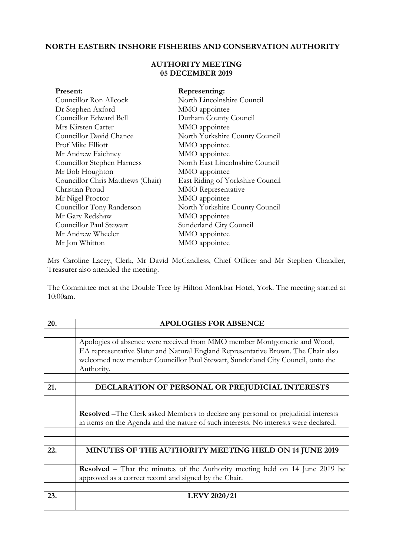## **NORTH EASTERN INSHORE FISHERIES AND CONSERVATION AUTHORITY**

## **AUTHORITY MEETING 05 DECEMBER 2019**

| Present:                          | Representing:                    |
|-----------------------------------|----------------------------------|
| Councillor Ron Allcock            | North Lincolnshire Council       |
| Dr Stephen Axford                 | MMO appointee                    |
| Councillor Edward Bell            | Durham County Council            |
| Mrs Kirsten Carter                | MMO appointee                    |
| Councillor David Chance           | North Yorkshire County Council   |
| Prof Mike Elliott                 | MMO appointee                    |
| Mr Andrew Faichney                | MMO appointee                    |
| Councillor Stephen Harness        | North East Lincolnshire Council  |
| Mr Bob Houghton                   | MMO appointee                    |
| Councillor Chris Matthews (Chair) | East Riding of Yorkshire Council |
| Christian Proud                   | <b>MMO</b> Representative        |
| Mr Nigel Proctor                  | MMO appointee                    |
| Councillor Tony Randerson         | North Yorkshire County Council   |
| Mr Gary Redshaw                   | MMO appointee                    |
| Councillor Paul Stewart           | Sunderland City Council          |
| Mr Andrew Wheeler                 | MMO appointee                    |
| Mr Jon Whitton                    | MMO appointee                    |

Mrs Caroline Lacey, Clerk, Mr David McCandless, Chief Officer and Mr Stephen Chandler, Treasurer also attended the meeting.

The Committee met at the Double Tree by Hilton Monkbar Hotel, York. The meeting started at 10:00am.

| 20. | <b>APOLOGIES FOR ABSENCE</b>                                                               |
|-----|--------------------------------------------------------------------------------------------|
|     |                                                                                            |
|     | Apologies of absence were received from MMO member Montgomerie and Wood,                   |
|     | EA representative Slater and Natural England Representative Brown. The Chair also          |
|     | welcomed new member Councillor Paul Stewart, Sunderland City Council, onto the             |
|     | Authority.                                                                                 |
|     |                                                                                            |
| 21. | DECLARATION OF PERSONAL OR PREJUDICIAL INTERESTS                                           |
|     |                                                                                            |
|     |                                                                                            |
|     | <b>Resolved</b> – The Clerk asked Members to declare any personal or prejudicial interests |
|     | in items on the Agenda and the nature of such interests. No interests were declared.       |
|     |                                                                                            |
|     |                                                                                            |
| 22. | MINUTES OF THE AUTHORITY MEETING HELD ON 14 JUNE 2019                                      |
|     |                                                                                            |
|     | <b>Resolved</b> – That the minutes of the Authority meeting held on 14 June 2019 be        |
|     | approved as a correct record and signed by the Chair.                                      |
|     |                                                                                            |
| 23. | <b>LEVY 2020/21</b>                                                                        |
|     |                                                                                            |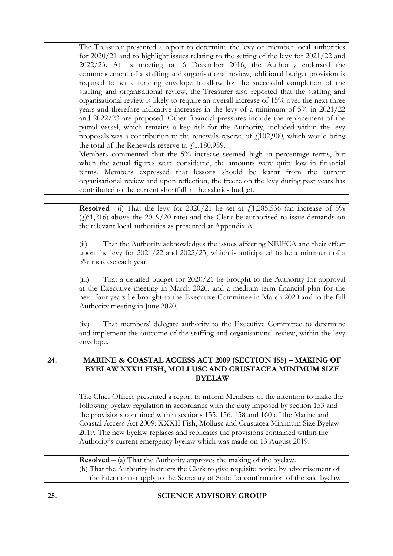| That the Authority acknowledges the issues affecting NEIFCA and their effect<br>(i)<br>upon the levy for 2021/22 and 2022/23, which is anticipated to be a minimum of a<br>5% increase each year.<br>That a detailed budget for 2020/21 be brought to the Authority for approval<br>(iii)<br>at the Executive meeting in March 2020, and a medium term financial plan for the<br>next four years be brought to the Executive Committee in March 2020 and to the full<br>Authority meeting in June 2020.<br>That members' delegate authority to the Executive Committee to determine<br>(iv)<br>and implement the outcome of the staffing and organisational review, within the levy<br>envelope.<br>MARINE & COASTAL ACCESS ACT 2009 (SECTION 155) - MAKING OF<br>BYELAW XXX11 FISH, MOLLUSC AND CRUSTACEA MINIMUM SIZE<br><b>BYELAW</b><br>The Chief Officer presented a report to inform Members of the intention to make the<br>following byelaw regulation in accordance with the duty imposed by section 153 and<br>the provisions contained within sections 155, 156, 158 and 160 of the Marine and<br>Coastal Access Act 2009: XXXII Fish, Mollusc and Crustacea Minimum Size Byelaw<br>2019. The new byelaw replaces and replicates the provisions contained within the<br>Authority's current emergency byelaw which was made on 13 August 2019.<br><b>Resolved</b> $-$ (a) That the Authority approves the making of the byelaw.<br>(b) That the Authority instructs the Clerk to give requisite notice by advertisement of<br>the intention to apply to the Secretary of State for confirmation of the said byelaw.<br><b>SCIENCE ADVISORY GROUP</b> |
|-----------------------------------------------------------------------------------------------------------------------------------------------------------------------------------------------------------------------------------------------------------------------------------------------------------------------------------------------------------------------------------------------------------------------------------------------------------------------------------------------------------------------------------------------------------------------------------------------------------------------------------------------------------------------------------------------------------------------------------------------------------------------------------------------------------------------------------------------------------------------------------------------------------------------------------------------------------------------------------------------------------------------------------------------------------------------------------------------------------------------------------------------------------------------------------------------------------------------------------------------------------------------------------------------------------------------------------------------------------------------------------------------------------------------------------------------------------------------------------------------------------------------------------------------------------------------------------------------------------------------------------------------------------------|
|                                                                                                                                                                                                                                                                                                                                                                                                                                                                                                                                                                                                                                                                                                                                                                                                                                                                                                                                                                                                                                                                                                                                                                                                                                                                                                                                                                                                                                                                                                                                                                                                                                                                 |
|                                                                                                                                                                                                                                                                                                                                                                                                                                                                                                                                                                                                                                                                                                                                                                                                                                                                                                                                                                                                                                                                                                                                                                                                                                                                                                                                                                                                                                                                                                                                                                                                                                                                 |
|                                                                                                                                                                                                                                                                                                                                                                                                                                                                                                                                                                                                                                                                                                                                                                                                                                                                                                                                                                                                                                                                                                                                                                                                                                                                                                                                                                                                                                                                                                                                                                                                                                                                 |
|                                                                                                                                                                                                                                                                                                                                                                                                                                                                                                                                                                                                                                                                                                                                                                                                                                                                                                                                                                                                                                                                                                                                                                                                                                                                                                                                                                                                                                                                                                                                                                                                                                                                 |
|                                                                                                                                                                                                                                                                                                                                                                                                                                                                                                                                                                                                                                                                                                                                                                                                                                                                                                                                                                                                                                                                                                                                                                                                                                                                                                                                                                                                                                                                                                                                                                                                                                                                 |
|                                                                                                                                                                                                                                                                                                                                                                                                                                                                                                                                                                                                                                                                                                                                                                                                                                                                                                                                                                                                                                                                                                                                                                                                                                                                                                                                                                                                                                                                                                                                                                                                                                                                 |
|                                                                                                                                                                                                                                                                                                                                                                                                                                                                                                                                                                                                                                                                                                                                                                                                                                                                                                                                                                                                                                                                                                                                                                                                                                                                                                                                                                                                                                                                                                                                                                                                                                                                 |
|                                                                                                                                                                                                                                                                                                                                                                                                                                                                                                                                                                                                                                                                                                                                                                                                                                                                                                                                                                                                                                                                                                                                                                                                                                                                                                                                                                                                                                                                                                                                                                                                                                                                 |
|                                                                                                                                                                                                                                                                                                                                                                                                                                                                                                                                                                                                                                                                                                                                                                                                                                                                                                                                                                                                                                                                                                                                                                                                                                                                                                                                                                                                                                                                                                                                                                                                                                                                 |
| <b>Resolved</b> – (i) That the levy for 2020/21 be set at $f$ , 1, 285, 536 (an increase of 5%<br>$(f(61,216)$ above the 2019/20 rate) and the Clerk be authorised to issue demands on<br>the relevant local authorities as presented at Appendix A.                                                                                                                                                                                                                                                                                                                                                                                                                                                                                                                                                                                                                                                                                                                                                                                                                                                                                                                                                                                                                                                                                                                                                                                                                                                                                                                                                                                                            |
| organisational review and upon reflection, the freeze on the levy during past years has<br>contributed to the current shortfall in the salaries budget.                                                                                                                                                                                                                                                                                                                                                                                                                                                                                                                                                                                                                                                                                                                                                                                                                                                                                                                                                                                                                                                                                                                                                                                                                                                                                                                                                                                                                                                                                                         |
| the total of the Renewals reserve to $\text{\textsterling}1,180,989$ .<br>Members commented that the 5% increase seemed high in percentage terms, but<br>when the actual figures were considered, the amounts were quite low in financial<br>terms. Members expressed that lessons should be learnt from the current                                                                                                                                                                                                                                                                                                                                                                                                                                                                                                                                                                                                                                                                                                                                                                                                                                                                                                                                                                                                                                                                                                                                                                                                                                                                                                                                            |
| patrol vessel, which remains a key risk for the Authority, included within the levy<br>proposals was a contribution to the renewals reserve of $f1102,900$ , which would bring                                                                                                                                                                                                                                                                                                                                                                                                                                                                                                                                                                                                                                                                                                                                                                                                                                                                                                                                                                                                                                                                                                                                                                                                                                                                                                                                                                                                                                                                                  |
| organisational review is likely to require an overall increase of 15% over the next three<br>years and therefore indicative increases in the levy of a minimum of 5% in 2021/22<br>and 2022/23 are proposed. Other financial pressures include the replacement of the                                                                                                                                                                                                                                                                                                                                                                                                                                                                                                                                                                                                                                                                                                                                                                                                                                                                                                                                                                                                                                                                                                                                                                                                                                                                                                                                                                                           |
| commencement of a staffing and organisational review, additional budget provision is<br>required to set a funding envelope to allow for the successful completion of the<br>staffing and organisational review, the Treasurer also reported that the staffing and                                                                                                                                                                                                                                                                                                                                                                                                                                                                                                                                                                                                                                                                                                                                                                                                                                                                                                                                                                                                                                                                                                                                                                                                                                                                                                                                                                                               |
| The Treasurer presented a report to determine the levy on member local authorities<br>for $2020/21$ and to highlight issues relating to the setting of the levy for $2021/22$ and<br>2022/23. At its meeting on 6 December 2016, the Authority endorsed the                                                                                                                                                                                                                                                                                                                                                                                                                                                                                                                                                                                                                                                                                                                                                                                                                                                                                                                                                                                                                                                                                                                                                                                                                                                                                                                                                                                                     |
|                                                                                                                                                                                                                                                                                                                                                                                                                                                                                                                                                                                                                                                                                                                                                                                                                                                                                                                                                                                                                                                                                                                                                                                                                                                                                                                                                                                                                                                                                                                                                                                                                                                                 |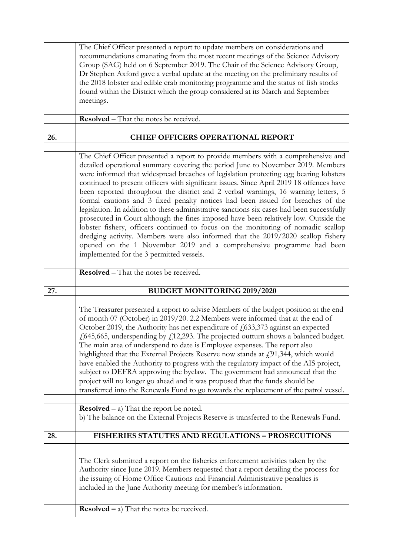|     | The Chief Officer presented a report to update members on considerations and<br>recommendations emanating from the most recent meetings of the Science Advisory<br>Group (SAG) held on 6 September 2019. The Chair of the Science Advisory Group,<br>Dr Stephen Axford gave a verbal update at the meeting on the preliminary results of<br>the 2018 lobster and edible crab monitoring programme and the status of fish stocks<br>found within the District which the group considered at its March and September                                                                                                                                                                                                                                                                                                                                                                                                                                                                                                   |
|-----|----------------------------------------------------------------------------------------------------------------------------------------------------------------------------------------------------------------------------------------------------------------------------------------------------------------------------------------------------------------------------------------------------------------------------------------------------------------------------------------------------------------------------------------------------------------------------------------------------------------------------------------------------------------------------------------------------------------------------------------------------------------------------------------------------------------------------------------------------------------------------------------------------------------------------------------------------------------------------------------------------------------------|
|     | meetings.                                                                                                                                                                                                                                                                                                                                                                                                                                                                                                                                                                                                                                                                                                                                                                                                                                                                                                                                                                                                            |
|     | <b>Resolved</b> – That the notes be received.                                                                                                                                                                                                                                                                                                                                                                                                                                                                                                                                                                                                                                                                                                                                                                                                                                                                                                                                                                        |
| 26. | <b>CHIEF OFFICERS OPERATIONAL REPORT</b>                                                                                                                                                                                                                                                                                                                                                                                                                                                                                                                                                                                                                                                                                                                                                                                                                                                                                                                                                                             |
|     |                                                                                                                                                                                                                                                                                                                                                                                                                                                                                                                                                                                                                                                                                                                                                                                                                                                                                                                                                                                                                      |
|     | The Chief Officer presented a report to provide members with a comprehensive and<br>detailed operational summary covering the period June to November 2019. Members<br>were informed that widespread breaches of legislation protecting egg bearing lobsters<br>continued to present officers with significant issues. Since April 2019 18 offences have<br>been reported throughout the district and 2 verbal warnings, 16 warning letters, 5<br>formal cautions and 3 fixed penalty notices had been issued for breaches of the<br>legislation. In addition to these administrative sanctions six cases had been successfully<br>prosecuted in Court although the fines imposed have been relatively low. Outside the<br>lobster fishery, officers continued to focus on the monitoring of nomadic scallop<br>dredging activity. Members were also informed that the 2019/2020 scallop fishery<br>opened on the 1 November 2019 and a comprehensive programme had been<br>implemented for the 3 permitted vessels. |
|     | <b>Resolved</b> – That the notes be received.                                                                                                                                                                                                                                                                                                                                                                                                                                                                                                                                                                                                                                                                                                                                                                                                                                                                                                                                                                        |
|     |                                                                                                                                                                                                                                                                                                                                                                                                                                                                                                                                                                                                                                                                                                                                                                                                                                                                                                                                                                                                                      |
| 27. | <b>BUDGET MONITORING 2019/2020</b>                                                                                                                                                                                                                                                                                                                                                                                                                                                                                                                                                                                                                                                                                                                                                                                                                                                                                                                                                                                   |
|     | The Treasurer presented a report to advise Members of the budget position at the end<br>of month 07 (October) in 2019/20. 2.2 Members were informed that at the end of<br>October 2019, the Authority has net expenditure of $f(633,373)$ against an expected<br>£645,665, underspending by £12,293. The projected outturn shows a balanced budget.<br>The main area of underspend to date is Employee expenses. The report also<br>highlighted that the External Projects Reserve now stands at $f191,344$ , which would<br>have enabled the Authority to progress with the regulatory impact of the AIS project,<br>subject to DEFRA approving the byelaw. The government had announced that the<br>project will no longer go ahead and it was proposed that the funds should be<br>transferred into the Renewals Fund to go towards the replacement of the patrol vessel.                                                                                                                                         |
|     | <b>Resolved</b> $-$ a) That the report be noted.<br>b) The balance on the External Projects Reserve is transferred to the Renewals Fund.                                                                                                                                                                                                                                                                                                                                                                                                                                                                                                                                                                                                                                                                                                                                                                                                                                                                             |
| 28. | FISHERIES STATUTES AND REGULATIONS - PROSECUTIONS                                                                                                                                                                                                                                                                                                                                                                                                                                                                                                                                                                                                                                                                                                                                                                                                                                                                                                                                                                    |
|     |                                                                                                                                                                                                                                                                                                                                                                                                                                                                                                                                                                                                                                                                                                                                                                                                                                                                                                                                                                                                                      |
|     | The Clerk submitted a report on the fisheries enforcement activities taken by the<br>Authority since June 2019. Members requested that a report detailing the process for<br>the issuing of Home Office Cautions and Financial Administrative penalties is<br>included in the June Authority meeting for member's information.<br><b>Resolved</b> $-$ a) That the notes be received.                                                                                                                                                                                                                                                                                                                                                                                                                                                                                                                                                                                                                                 |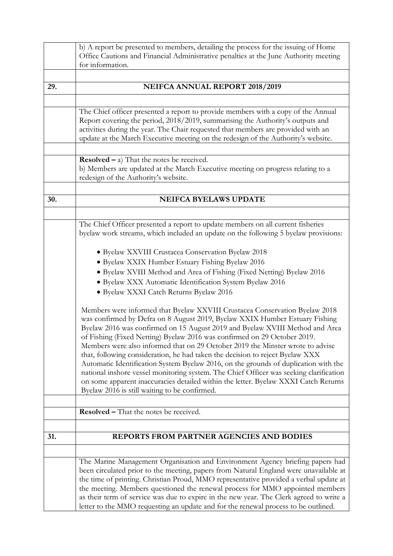|     | b) A report be presented to members, detailing the process for the issuing of Home      |
|-----|-----------------------------------------------------------------------------------------|
|     | Office Cautions and Financial Administrative penalties at the June Authority meeting    |
|     | for information.                                                                        |
|     |                                                                                         |
| 29. | NEIFCA ANNUAL REPORT 2018/2019                                                          |
|     |                                                                                         |
|     |                                                                                         |
|     | The Chief officer presented a report to provide members with a copy of the Annual       |
|     | Report covering the period, 2018/2019, summarising the Authority's outputs and          |
|     | activities during the year. The Chair requested that members are provided with an       |
|     | update at the March Executive meeting on the redesign of the Authority's website.       |
|     |                                                                                         |
|     | <b>Resolved</b> $-$ a) That the notes be received.                                      |
|     | b) Members are updated at the March Executive meeting on progress relating to a         |
|     | redesign of the Authority's website.                                                    |
|     |                                                                                         |
| 30. | <b>NEIFCA BYELAWS UPDATE</b>                                                            |
|     |                                                                                         |
|     |                                                                                         |
|     | The Chief Officer presented a report to update members on all current fisheries         |
|     | byelaw work streams, which included an update on the following 5 byelaw provisions:     |
|     |                                                                                         |
|     | · Byelaw XXVIII Crustacea Conservation Byelaw 2018                                      |
|     | · Byelaw XXIX Humber Estuary Fishing Byelaw 2016                                        |
|     | · Byelaw XVIII Method and Area of Fishing (Fixed Netting) Byelaw 2016                   |
|     | · Byelaw XXX Automatic Identification System Byelaw 2016                                |
|     | · Byelaw XXXI Catch Returns Byelaw 2016                                                 |
|     |                                                                                         |
|     | Members were informed that Byelaw XXVIII Crustacea Conservation Byelaw 2018             |
|     | was confirmed by Defra on 8 August 2019, Byelaw XXIX Humber Estuary Fishing             |
|     | Byelaw 2016 was confirmed on 15 August 2019 and Byelaw XVIII Method and Area            |
|     | of Fishing (Fixed Netting) Byelaw 2016 was confirmed on 29 October 2019.                |
|     | Members were also informed that on 29 October 2019 the Minster wrote to advise          |
|     | that, following consideration, he had taken the decision to reject Byelaw XXX           |
|     | Automatic Identification System Byelaw 2016, on the grounds of duplication with the     |
|     | national inshore vessel monitoring system. The Chief Officer was seeking clarification  |
|     | on some apparent inaccuracies detailed within the letter. Byelaw XXXI Catch Returns     |
|     | Byelaw 2016 is still waiting to be confirmed.                                           |
|     |                                                                                         |
|     | <b>Resolved – That the notes be received.</b>                                           |
|     |                                                                                         |
| 31. | REPORTS FROM PARTNER AGENCIES AND BODIES                                                |
|     |                                                                                         |
|     |                                                                                         |
|     | The Marine Management Organisation and Environment Agency briefing papers had           |
|     | been circulated prior to the meeting, papers from Natural England were unavailable at   |
|     | the time of printing. Christian Proud, MMO representative provided a verbal update at   |
|     | the meeting. Members questioned the renewal process for MMO appointed members           |
|     | as their term of service was due to expire in the new year. The Clerk agreed to write a |
|     | letter to the MMO requesting an update and for the renewal process to be outlined.      |